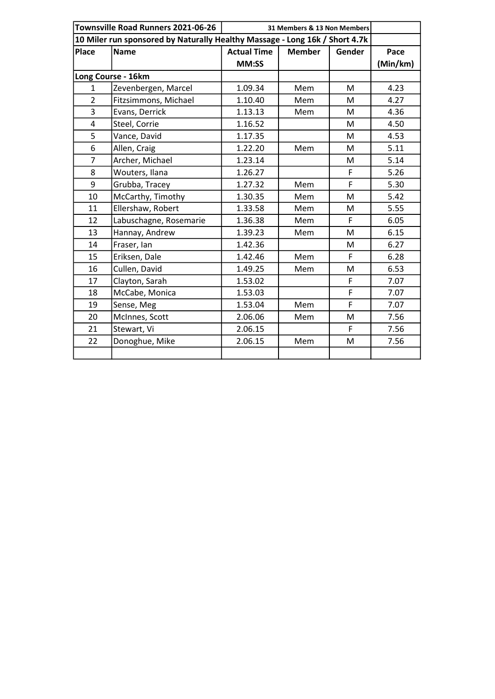| Townsville Road Runners 2021-06-26 |                        | 31 Members & 13 Non Members                                                 |               |        |          |
|------------------------------------|------------------------|-----------------------------------------------------------------------------|---------------|--------|----------|
|                                    |                        | 10 Miler run sponsored by Naturally Healthy Massage - Long 16k / Short 4.7k |               |        |          |
| <b>Place</b>                       | <b>Name</b>            | <b>Actual Time</b>                                                          | <b>Member</b> | Gender | Pace     |
|                                    |                        | MM:SS                                                                       |               |        | (Min/km) |
| Long Course - 16km                 |                        |                                                                             |               |        |          |
| $\mathbf{1}$                       | Zevenbergen, Marcel    | 1.09.34                                                                     | Mem           | M      | 4.23     |
| $\overline{2}$                     | Fitzsimmons, Michael   | 1.10.40                                                                     | Mem           | M      | 4.27     |
| 3                                  | Evans, Derrick         | 1.13.13                                                                     | Mem           | M      | 4.36     |
| 4                                  | Steel, Corrie          | 1.16.52                                                                     |               | M      | 4.50     |
| 5                                  | Vance, David           | 1.17.35                                                                     |               | M      | 4.53     |
| 6                                  | Allen, Craig           | 1.22.20                                                                     | Mem           | M      | 5.11     |
| $\overline{7}$                     | Archer, Michael        | 1.23.14                                                                     |               | M      | 5.14     |
| 8                                  | Wouters, Ilana         | 1.26.27                                                                     |               | F      | 5.26     |
| 9                                  | Grubba, Tracey         | 1.27.32                                                                     | Mem           | F      | 5.30     |
| 10                                 | McCarthy, Timothy      | 1.30.35                                                                     | Mem           | M      | 5.42     |
| 11                                 | Ellershaw, Robert      | 1.33.58                                                                     | Mem           | M      | 5.55     |
| 12                                 | Labuschagne, Rosemarie | 1.36.38                                                                     | Mem           | F      | 6.05     |
| 13                                 | Hannay, Andrew         | 1.39.23                                                                     | Mem           | M      | 6.15     |
| 14                                 | Fraser, Ian            | 1.42.36                                                                     |               | M      | 6.27     |
| 15                                 | Eriksen, Dale          | 1.42.46                                                                     | Mem           | F      | 6.28     |
| 16                                 | Cullen, David          | 1.49.25                                                                     | Mem           | M      | 6.53     |
| 17                                 | Clayton, Sarah         | 1.53.02                                                                     |               | F      | 7.07     |
| 18                                 | McCabe, Monica         | 1.53.03                                                                     |               | F      | 7.07     |
| 19                                 | Sense, Meg             | 1.53.04                                                                     | Mem           | F      | 7.07     |
| 20                                 | McInnes, Scott         | 2.06.06                                                                     | Mem           | M      | 7.56     |
| 21                                 | Stewart, Vi            | 2.06.15                                                                     |               | F      | 7.56     |
| 22                                 | Donoghue, Mike         | 2.06.15                                                                     | Mem           | M      | 7.56     |
|                                    |                        |                                                                             |               |        |          |